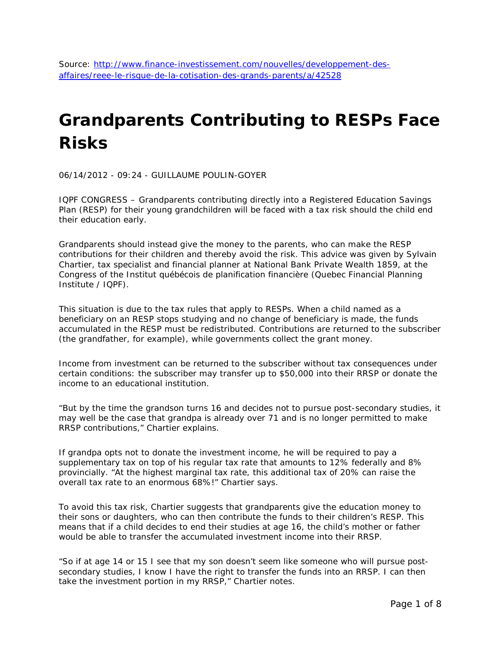# **Grandparents Contributing to RESPs Face Risks**

06/14/2012 - 09:24 - GUILLAUME POULIN-GOYER

IQPF CONGRESS – Grandparents contributing directly into a Registered Education Savings Plan (RESP) for their young grandchildren will be faced with a tax risk should the child end their education early.

Grandparents should instead give the money to the parents, who can make the RESP contributions for their children and thereby avoid the risk. This advice was given by Sylvain Chartier, tax specialist and financial planner at National Bank Private Wealth 1859, at the Congress of the *Institut québécois de planification financière* (Quebec Financial Planning Institute / IQPF).

This situation is due to the tax rules that apply to RESPs. When a child named as a beneficiary on an RESP stops studying and no change of beneficiary is made, the funds accumulated in the RESP must be redistributed. Contributions are returned to the subscriber (the grandfather, for example), while governments collect the grant money.

Income from investment can be returned to the subscriber without tax consequences under certain conditions: the subscriber may transfer up to \$50,000 into their RRSP or donate the income to an educational institution.

"But by the time the grandson turns 16 and decides not to pursue post-secondary studies, it may well be the case that grandpa is already over 71 and is no longer permitted to make RRSP contributions," Chartier explains.

If grandpa opts not to donate the investment income, he will be required to pay a supplementary tax on top of his regular tax rate that amounts to 12% federally and 8% provincially. "At the highest marginal tax rate, this additional tax of 20% can raise the overall tax rate to an enormous 68%!" Chartier says.

To avoid this tax risk, Chartier suggests that grandparents give the education money to their sons or daughters, who can then contribute the funds to their children's RESP. This means that if a child decides to end their studies at age 16, the child's mother or father would be able to transfer the accumulated investment income into their RRSP.

"So if at age 14 or 15 I see that my son doesn't seem like someone who will pursue postsecondary studies, I know I have the right to transfer the funds into an RRSP. I can then take the investment portion in my RRSP," Chartier notes.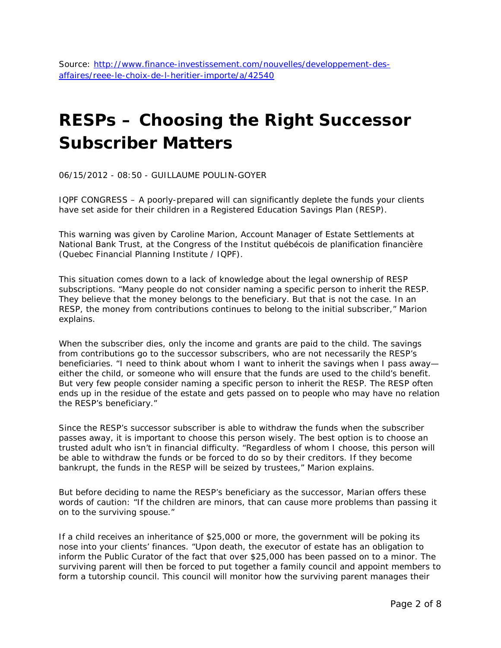### **RESPs – Choosing the Right Successor Subscriber Matters**

06/15/2012 - 08:50 - GUILLAUME POULIN-GOYER

IQPF CONGRESS – A poorly-prepared will can significantly deplete the funds your clients have set aside for their children in a Registered Education Savings Plan (RESP).

This warning was given by Caroline Marion, Account Manager of Estate Settlements at National Bank Trust, at the Congress of the *Institut québécois de planification financière* (Quebec Financial Planning Institute / IQPF).

This situation comes down to a lack of knowledge about the legal ownership of RESP subscriptions. "Many people do not consider naming a specific person to inherit the RESP. They believe that the money belongs to the beneficiary. But that is not the case. In an RESP, the money from contributions continues to belong to the initial subscriber," Marion explains.

When the subscriber dies, only the income and grants are paid to the child. The savings from contributions go to the successor subscribers, who are not necessarily the RESP's beneficiaries. "I need to think about whom I want to inherit the savings when I pass awayeither the child, or someone who will ensure that the funds are used to the child's benefit. But very few people consider naming a specific person to inherit the RESP. The RESP often ends up in the residue of the estate and gets passed on to people who may have no relation the RESP's beneficiary."

Since the RESP's successor subscriber is able to withdraw the funds when the subscriber passes away, it is important to choose this person wisely. The best option is to choose an trusted adult who isn't in financial difficulty. "Regardless of whom I choose, this person will be able to withdraw the funds or be forced to do so by their creditors. If they become bankrupt, the funds in the RESP will be seized by trustees," Marion explains.

But before deciding to name the RESP's beneficiary as the successor, Marian offers these words of caution: "If the children are minors, that can cause more problems than passing it on to the surviving spouse."

If a child receives an inheritance of \$25,000 or more, the government will be poking its nose into your clients' finances. "Upon death, the executor of estate has an obligation to inform the Public Curator of the fact that over \$25,000 has been passed on to a minor. The surviving parent will then be forced to put together a family council and appoint members to form a tutorship council. This council will monitor how the surviving parent manages their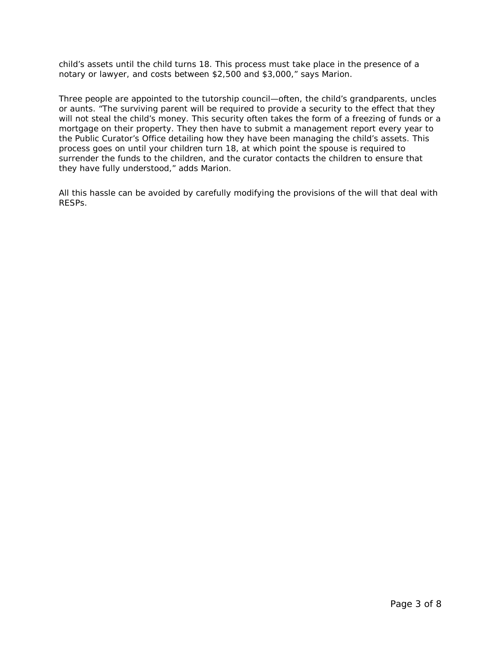child's assets until the child turns 18. This process must take place in the presence of a notary or lawyer, and costs between \$2,500 and \$3,000," says Marion.

Three people are appointed to the tutorship council—often, the child's grandparents, uncles or aunts. "The surviving parent will be required to provide a security to the effect that they will not steal the child's money. This security often takes the form of a freezing of funds or a mortgage on their property. They then have to submit a management report every year to the Public Curator's Office detailing how they have been managing the child's assets. This process goes on until your children turn 18, at which point the spouse is required to surrender the funds to the children, and the curator contacts the children to ensure that they have fully understood," adds Marion.

All this hassle can be avoided by carefully modifying the provisions of the will that deal with RESPs.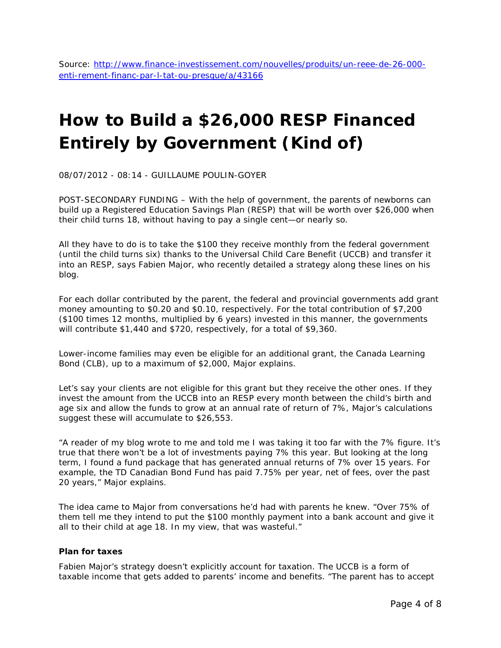Source: [http://www.finance-investissement.com/nouvelles/produits/un-reee-de-26-000](http://www.finance-investissement.com/nouvelles/produits/un-reee-de-26-000-enti-rement-financ-par-l-tat-ou-presque/a/43166) [enti-rement-financ-par-l-tat-ou-presque/a/43166](http://www.finance-investissement.com/nouvelles/produits/un-reee-de-26-000-enti-rement-financ-par-l-tat-ou-presque/a/43166)

## **How to Build a \$26,000 RESP Financed Entirely by Government (Kind of)**

08/07/2012 - 08:14 - GUILLAUME POULIN-GOYER

POST-SECONDARY FUNDING – With the help of government, the parents of newborns can build up a Registered Education Savings Plan (RESP) that will be worth over \$26,000 when their child turns 18, without having to pay a single cent—or nearly so.

All they have to do is to take the \$100 they receive monthly from the federal government (until the child turns six) thanks to the Universal Child Care Benefit (UCCB) and transfer it into an RESP, says Fabien Major, who recently detailed a strategy along these lines on his blog.

For each dollar contributed by the parent, the federal and provincial governments add grant money amounting to \$0.20 and \$0.10, respectively. For the total contribution of \$7,200 (\$100 times 12 months, multiplied by 6 years) invested in this manner, the governments will contribute \$1,440 and \$720, respectively, for a total of \$9,360.

Lower-income families may even be eligible for an additional grant, the Canada Learning Bond (CLB), up to a maximum of \$2,000, Major explains.

Let's say your clients are not eligible for this grant but they receive the other ones. If they invest the amount from the UCCB into an RESP every month between the child's birth and age six and allow the funds to grow at an annual rate of return of 7%, Major's calculations suggest these will accumulate to \$26,553.

"A reader of my blog wrote to me and told me I was taking it too far with the 7% figure. It's true that there won't be a lot of investments paying 7% this year. But looking at the long term, I found a fund package that has generated annual returns of 7% over 15 years. For example, the TD Canadian Bond Fund has paid 7.75% per year, net of fees, over the past 20 years," Major explains.

The idea came to Major from conversations he'd had with parents he knew. "Over 75% of them tell me they intend to put the \$100 monthly payment into a bank account and give it all to their child at age 18. In my view, that was wasteful."

#### **Plan for taxes**

Fabien Major's strategy doesn't explicitly account for taxation. The UCCB is a form of taxable income that gets added to parents' income and benefits. "The parent has to accept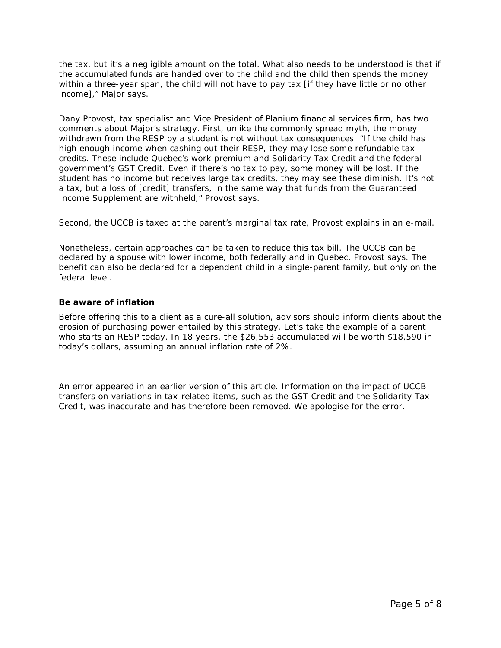the tax, but it's a negligible amount on the total. What also needs to be understood is that if the accumulated funds are handed over to the child and the child then spends the money within a three-year span, the child will not have to pay tax [if they have little or no other income]," Major says.

Dany Provost, tax specialist and Vice President of Planium financial services firm, has two comments about Major's strategy. First, unlike the commonly spread myth, the money withdrawn from the RESP by a student is not without tax consequences. "If the child has high enough income when cashing out their RESP, they may lose some refundable tax credits. These include Quebec's work premium and Solidarity Tax Credit and the federal government's GST Credit. Even if there's no tax to pay, some money will be lost. If the student has no income but receives large tax credits, they may see these diminish. It's not a tax, but a loss of [credit] transfers, in the same way that funds from the Guaranteed Income Supplement are withheld," Provost says.

Second, the UCCB is taxed at the parent's marginal tax rate, Provost explains in an e-mail.

Nonetheless, certain approaches can be taken to reduce this tax bill. The UCCB can be declared by a spouse with lower income, both federally and in Quebec, Provost says. The benefit can also be declared for a dependent child in a single-parent family, but only on the federal level.

### **Be aware of inflation**

Before offering this to a client as a cure-all solution, advisors should inform clients about the erosion of purchasing power entailed by this strategy. Let's take the example of a parent who starts an RESP today. In 18 years, the \$26,553 accumulated will be worth \$18,590 in today's dollars, assuming an annual inflation rate of 2%.

*An error appeared in an earlier version of this article. Information on the impact of UCCB transfers on variations in tax-related items, such as the GST Credit and the Solidarity Tax Credit, was inaccurate and has therefore been removed. We apologise for the error.*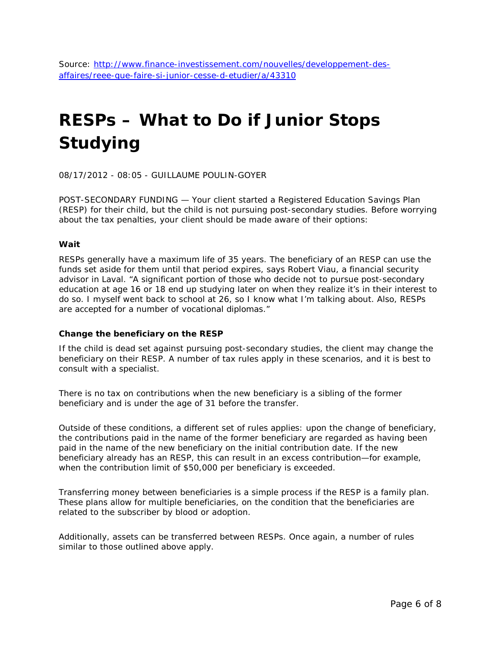# **RESPs – What to Do if Junior Stops Studying**

08/17/2012 - 08:05 - GUILLAUME POULIN-GOYER

POST-SECONDARY FUNDING — Your client started a Registered Education Savings Plan (RESP) for their child, but the child is not pursuing post-secondary studies. Before worrying about the tax penalties, your client should be made aware of their options:

### **Wait**

RESPs generally have a maximum life of 35 years. The beneficiary of an RESP can use the funds set aside for them until that period expires, says Robert Viau, a financial security advisor in Laval. "A significant portion of those who decide not to pursue post-secondary education at age 16 or 18 end up studying later on when they realize it's in their interest to do so. I myself went back to school at 26, so I know what I'm talking about. Also, RESPs are accepted for a number of vocational diplomas."

### **Change the beneficiary on the RESP**

If the child is dead set against pursuing post-secondary studies, the client may change the beneficiary on their RESP. A number of tax rules apply in these scenarios, and it is best to consult with a specialist.

There is no tax on contributions when the new beneficiary is a sibling of the former beneficiary and is under the age of 31 before the transfer.

Outside of these conditions, a different set of rules applies: upon the change of beneficiary, the contributions paid in the name of the former beneficiary are regarded as having been paid in the name of the new beneficiary on the initial contribution date. If the new beneficiary already has an RESP, this can result in an excess contribution—for example, when the contribution limit of \$50,000 per beneficiary is exceeded.

Transferring money between beneficiaries is a simple process if the RESP is a family plan. These plans allow for multiple beneficiaries, on the condition that the beneficiaries are related to the subscriber by blood or adoption.

Additionally, assets can be transferred between RESPs. Once again, a number of rules similar to those outlined above apply.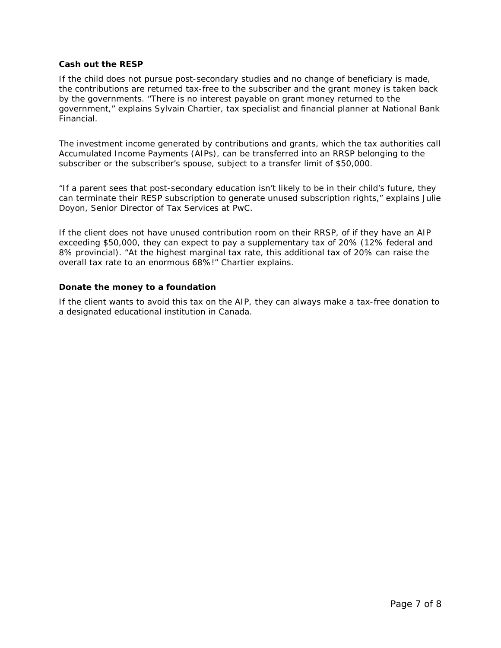#### **Cash out the RESP**

If the child does not pursue post-secondary studies and no change of beneficiary is made, the contributions are returned tax-free to the subscriber and the grant money is taken back by the governments. "There is no interest payable on grant money returned to the government," explains Sylvain Chartier, tax specialist and financial planner at National Bank Financial.

The investment income generated by contributions and grants, which the tax authorities call Accumulated Income Payments (AIPs), can be transferred into an RRSP belonging to the subscriber or the subscriber's spouse, subject to a transfer limit of \$50,000.

"If a parent sees that post-secondary education isn't likely to be in their child's future, they can terminate their RESP subscription to generate unused subscription rights," explains Julie Doyon, Senior Director of Tax Services at PwC.

If the client does not have unused contribution room on their RRSP, of if they have an AIP exceeding \$50,000, they can expect to pay a supplementary tax of 20% (12% federal and 8% provincial). "At the highest marginal tax rate, this additional tax of 20% can raise the overall tax rate to an enormous 68%!" Chartier explains.

#### **Donate the money to a foundation**

If the client wants to avoid this tax on the AIP, they can always make a tax-free donation to a designated educational institution in Canada.